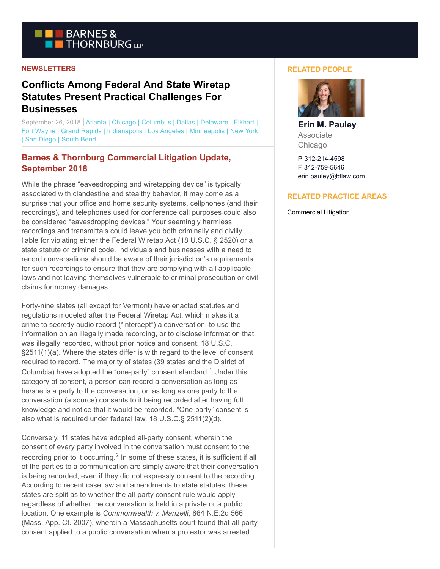

### **NEWSLETTERS**

# **Conflicts Among Federal And State Wiretap Statutes Present Practical Challenges For Businesses**

September 26, 2018 Atlanta | Chicago | Columbus | Dallas | Delaware | Elkhart | Fort Wayne | Grand Rapids | Indianapolis | Los Angeles | Minneapolis | New York | San Diego | South Bend

## **Barnes & Thornburg Commercial Litigation Update, September 2018**

While the phrase "eavesdropping and wiretapping device" is typically associated with clandestine and stealthy behavior, it may come as a surprise that your office and home security systems, cellphones (and their recordings), and telephones used for conference call purposes could also be considered "eavesdropping devices." Your seemingly harmless recordings and transmittals could leave you both criminally and civilly liable for violating either the Federal Wiretap Act (18 U.S.C. § 2520) or a state statute or criminal code. Individuals and businesses with a need to record conversations should be aware of their jurisdiction's requirements for such recordings to ensure that they are complying with all applicable laws and not leaving themselves vulnerable to criminal prosecution or civil claims for money damages.

Forty-nine states (all except for Vermont) have enacted statutes and regulations modeled after the Federal Wiretap Act, which makes it a crime to secretly audio record ("intercept") a conversation, to use the information on an illegally made recording, or to disclose information that was illegally recorded, without prior notice and consent. 18 U.S.C. §2511(1)(a). Where the states differ is with regard to the level of consent required to record. The majority of states (39 states and the District of Columbia) have adopted the "one-party" consent standard.<sup>1</sup> Under this category of consent, a person can record a conversation as long as he/she is a party to the conversation, or, as long as one party to the conversation (a source) consents to it being recorded after having full knowledge and notice that it would be recorded. "One-party" consent is also what is required under federal law. 18 U.S.C.§ 2511(2)(d).

Conversely, 11 states have adopted all-party consent, wherein the consent of every party involved in the conversation must consent to the recording prior to it occurring. $^2$  In some of these states, it is sufficient if all of the parties to a communication are simply aware that their conversation is being recorded, even if they did not expressly consent to the recording. According to recent case law and amendments to state statutes, these states are split as to whether the all-party consent rule would apply regardless of whether the conversation is held in a private or a public location. One example is *Commonwealth v. Manzelli*, 864 N.E.2d 566 (Mass. App. Ct. 2007), wherein a Massachusetts court found that all-party consent applied to a public conversation when a protestor was arrested

#### **RELATED PEOPLE**



**Erin M. Pauley** Associate Chicago

P 312-214-4598 F 312-759-5646 erin.pauley@btlaw.com

### **RELATED PRACTICE AREAS**

Commercial Litigation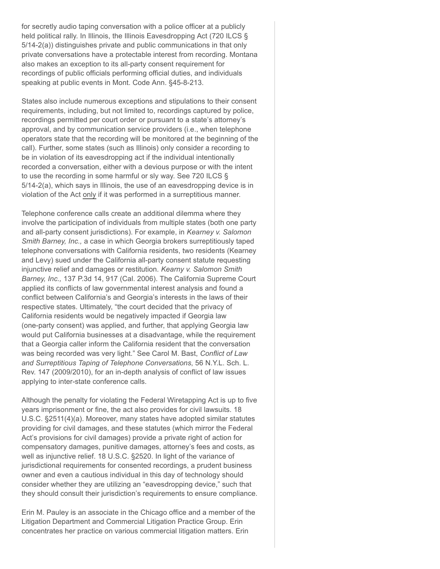for secretly audio taping conversation with a police officer at a publicly held political rally. In Illinois, the Illinois Eavesdropping Act (720 ILCS § 5/14-2(a)) distinguishes private and public communications in that only private conversations have a protectable interest from recording. Montana also makes an exception to its all-party consent requirement for recordings of public officials performing official duties, and individuals speaking at public events in Mont. Code Ann. §45-8-213.

States also include numerous exceptions and stipulations to their consent requirements, including, but not limited to, recordings captured by police, recordings permitted per court order or pursuant to a state's attorney's approval, and by communication service providers (i.e., when telephone operators state that the recording will be monitored at the beginning of the call). Further, some states (such as Illinois) only consider a recording to be in violation of its eavesdropping act if the individual intentionally recorded a conversation, either with a devious purpose or with the intent to use the recording in some harmful or sly way. See 720 ILCS § 5/14-2(a), which says in Illinois, the use of an eavesdropping device is in violation of the Act only if it was performed in a surreptitious manner.

Telephone conference calls create an additional dilemma where they involve the participation of individuals from multiple states (both one party and all-party consent jurisdictions). For example, in *Kearney v. Salomon Smith Barney, Inc.,* a case in which Georgia brokers surreptitiously taped telephone conversations with California residents, two residents (Kearney and Levy) sued under the California all-party consent statute requesting injunctive relief and damages or restitution. *Kearny v. Salomon Smith Barney, Inc.,* 137 P.3d 14, 917 (Cal. 2006). The California Supreme Court applied its conflicts of law governmental interest analysis and found a conflict between California's and Georgia's interests in the laws of their respective states. Ultimately, "the court decided that the privacy of California residents would be negatively impacted if Georgia law (one-party consent) was applied, and further, that applying Georgia law would put California businesses at a disadvantage, while the requirement that a Georgia caller inform the California resident that the conversation was being recorded was very light." See Carol M. Bast, *Conflict of Law and Surreptitious Taping of Telephone Conversations*, 56 N.Y.L. Sch. L. Rev. 147 (2009/2010), for an in-depth analysis of conflict of law issues applying to inter-state conference calls.

Although the penalty for violating the Federal Wiretapping Act is up to five years imprisonment or fine, the act also provides for civil lawsuits. 18 U.S.C. §2511(4)(a). Moreover, many states have adopted similar statutes providing for civil damages, and these statutes (which mirror the Federal Act's provisions for civil damages) provide a private right of action for compensatory damages, punitive damages, attorney's fees and costs, as well as injunctive relief. 18 U.S.C. §2520. In light of the variance of jurisdictional requirements for consented recordings, a prudent business owner and even a cautious individual in this day of technology should consider whether they are utilizing an "eavesdropping device," such that they should consult their jurisdiction's requirements to ensure compliance.

Erin M. Pauley is an associate in the Chicago office and a member of the Litigation Department and Commercial Litigation Practice Group. Erin concentrates her practice on various commercial litigation matters. Erin